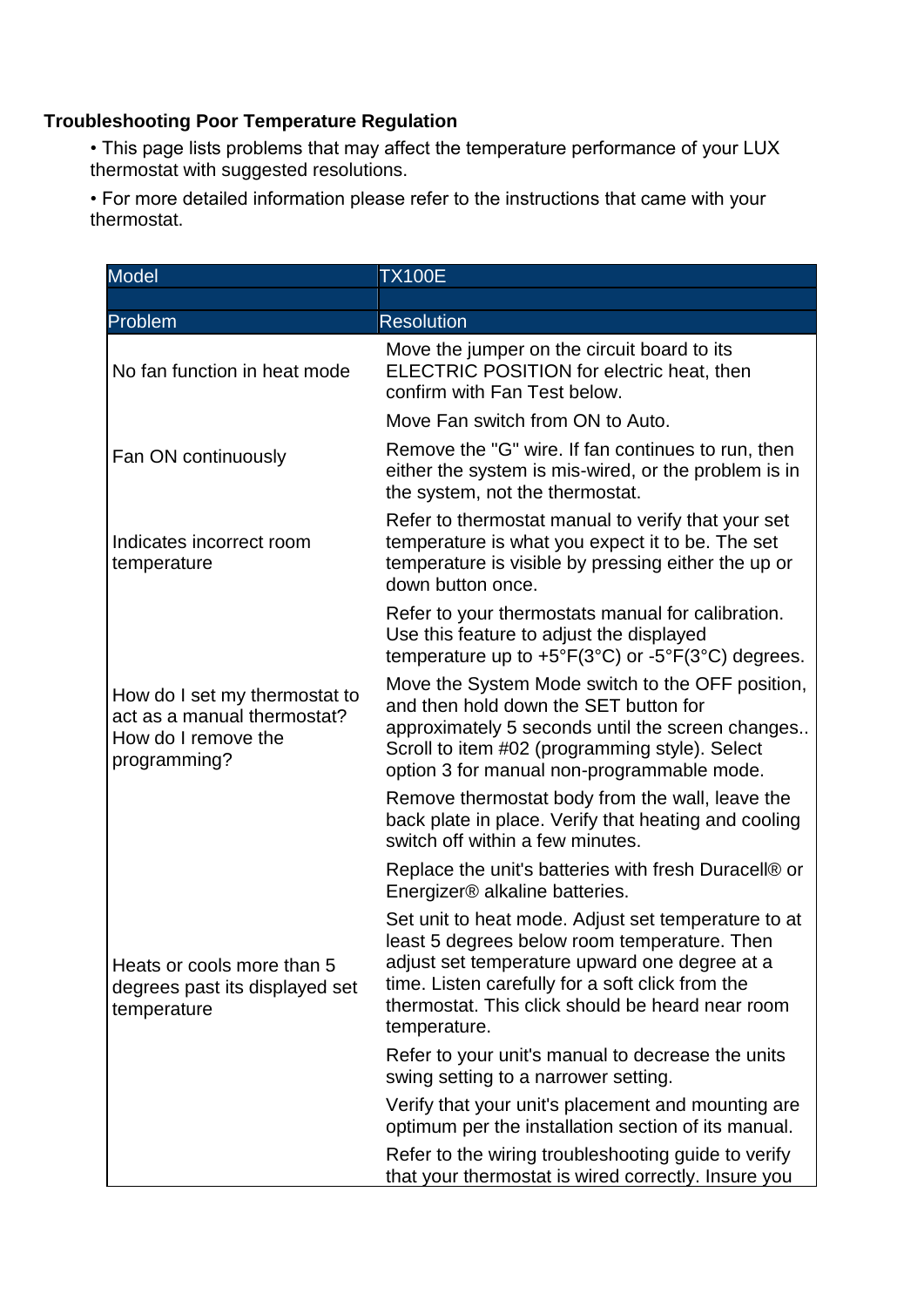## **Troubleshooting Poor Temperature Regulation**

• This page lists problems that may affect the temperature performance of your LUX thermostat with suggested resolutions.

• For more detailed information please refer to the instructions that came with your thermostat.

| <b>Model</b>                                                                                        | <b>TX100E</b>                                                                                                                                                                                                                                                                |
|-----------------------------------------------------------------------------------------------------|------------------------------------------------------------------------------------------------------------------------------------------------------------------------------------------------------------------------------------------------------------------------------|
|                                                                                                     |                                                                                                                                                                                                                                                                              |
| Problem                                                                                             | <b>Resolution</b>                                                                                                                                                                                                                                                            |
| No fan function in heat mode                                                                        | Move the jumper on the circuit board to its<br>ELECTRIC POSITION for electric heat, then<br>confirm with Fan Test below.                                                                                                                                                     |
|                                                                                                     | Move Fan switch from ON to Auto.                                                                                                                                                                                                                                             |
| Fan ON continuously                                                                                 | Remove the "G" wire. If fan continues to run, then<br>either the system is mis-wired, or the problem is in<br>the system, not the thermostat.                                                                                                                                |
| Indicates incorrect room<br>temperature                                                             | Refer to thermostat manual to verify that your set<br>temperature is what you expect it to be. The set<br>temperature is visible by pressing either the up or<br>down button once.                                                                                           |
|                                                                                                     | Refer to your thermostats manual for calibration.<br>Use this feature to adjust the displayed<br>temperature up to $+5^{\circ}F(3^{\circ}C)$ or $-5^{\circ}F(3^{\circ}C)$ degrees.                                                                                           |
| How do I set my thermostat to<br>act as a manual thermostat?<br>How do I remove the<br>programming? | Move the System Mode switch to the OFF position,<br>and then hold down the SET button for<br>approximately 5 seconds until the screen changes<br>Scroll to item #02 (programming style). Select<br>option 3 for manual non-programmable mode.                                |
|                                                                                                     | Remove thermostat body from the wall, leave the<br>back plate in place. Verify that heating and cooling<br>switch off within a few minutes.                                                                                                                                  |
|                                                                                                     | Replace the unit's batteries with fresh Duracell® or<br>Energizer® alkaline batteries.                                                                                                                                                                                       |
| Heats or cools more than 5<br>degrees past its displayed set<br>temperature                         | Set unit to heat mode. Adjust set temperature to at<br>least 5 degrees below room temperature. Then<br>adjust set temperature upward one degree at a<br>time. Listen carefully for a soft click from the<br>thermostat. This click should be heard near room<br>temperature. |
|                                                                                                     | Refer to your unit's manual to decrease the units<br>swing setting to a narrower setting.                                                                                                                                                                                    |
|                                                                                                     | Verify that your unit's placement and mounting are<br>optimum per the installation section of its manual.                                                                                                                                                                    |
|                                                                                                     | Refer to the wiring troubleshooting guide to verify<br>that your thermostat is wired correctly. Insure you                                                                                                                                                                   |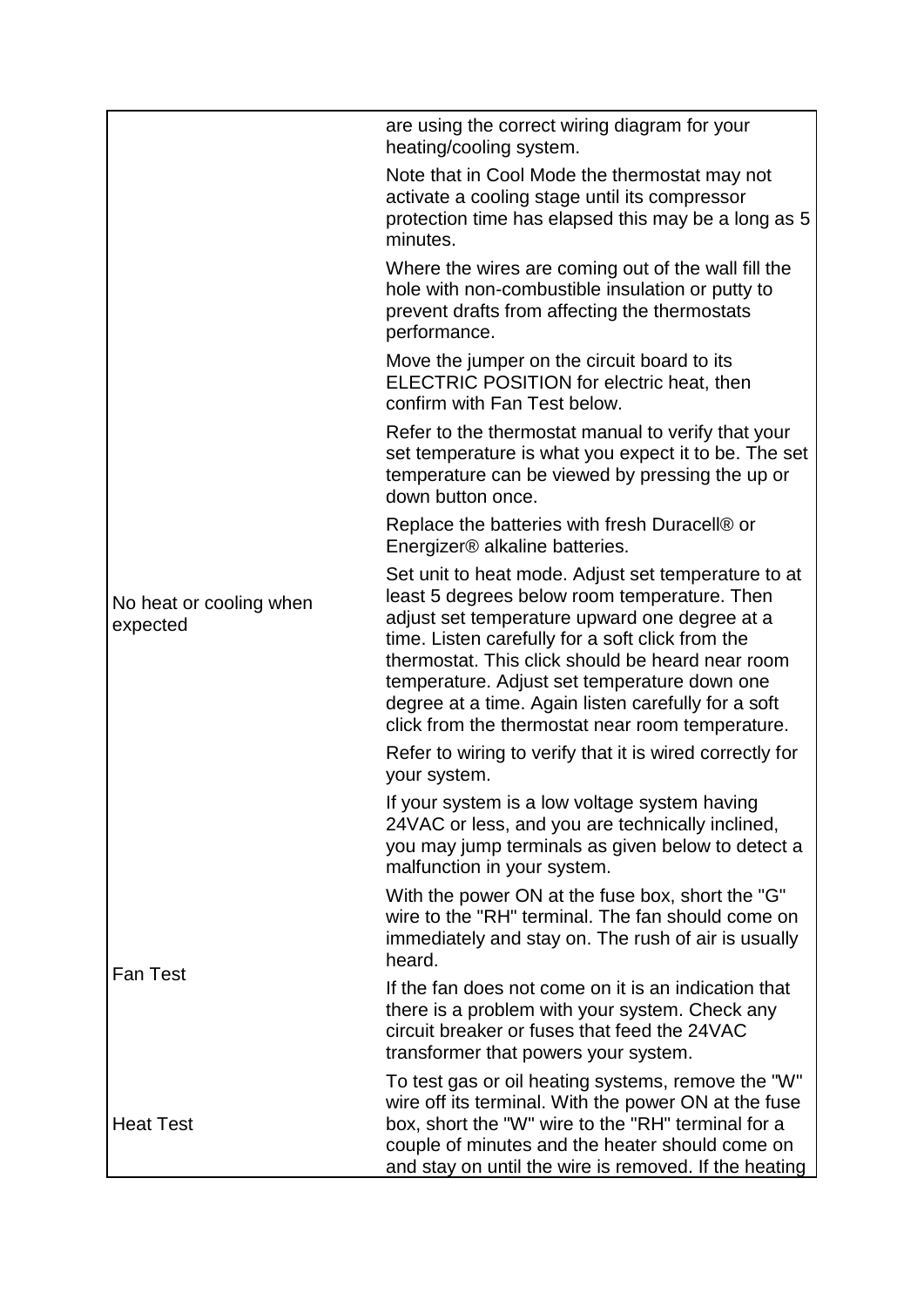|                                     | are using the correct wiring diagram for your<br>heating/cooling system.                                                                                                                                                                                                                                                                                                                                                |
|-------------------------------------|-------------------------------------------------------------------------------------------------------------------------------------------------------------------------------------------------------------------------------------------------------------------------------------------------------------------------------------------------------------------------------------------------------------------------|
|                                     | Note that in Cool Mode the thermostat may not<br>activate a cooling stage until its compressor<br>protection time has elapsed this may be a long as 5<br>minutes.                                                                                                                                                                                                                                                       |
|                                     | Where the wires are coming out of the wall fill the<br>hole with non-combustible insulation or putty to<br>prevent drafts from affecting the thermostats<br>performance.                                                                                                                                                                                                                                                |
|                                     | Move the jumper on the circuit board to its<br>ELECTRIC POSITION for electric heat, then<br>confirm with Fan Test below.                                                                                                                                                                                                                                                                                                |
|                                     | Refer to the thermostat manual to verify that your<br>set temperature is what you expect it to be. The set<br>temperature can be viewed by pressing the up or<br>down button once.                                                                                                                                                                                                                                      |
|                                     | Replace the batteries with fresh Duracell® or<br>Energizer® alkaline batteries.                                                                                                                                                                                                                                                                                                                                         |
| No heat or cooling when<br>expected | Set unit to heat mode. Adjust set temperature to at<br>least 5 degrees below room temperature. Then<br>adjust set temperature upward one degree at a<br>time. Listen carefully for a soft click from the<br>thermostat. This click should be heard near room<br>temperature. Adjust set temperature down one<br>degree at a time. Again listen carefully for a soft<br>click from the thermostat near room temperature. |
|                                     | Refer to wiring to verify that it is wired correctly for<br>your system.                                                                                                                                                                                                                                                                                                                                                |
|                                     | If your system is a low voltage system having<br>24VAC or less, and you are technically inclined,<br>you may jump terminals as given below to detect a<br>malfunction in your system.                                                                                                                                                                                                                                   |
| <b>Fan Test</b>                     | With the power ON at the fuse box, short the "G"<br>wire to the "RH" terminal. The fan should come on<br>immediately and stay on. The rush of air is usually<br>heard.                                                                                                                                                                                                                                                  |
|                                     | If the fan does not come on it is an indication that<br>there is a problem with your system. Check any<br>circuit breaker or fuses that feed the 24VAC<br>transformer that powers your system.                                                                                                                                                                                                                          |
| <b>Heat Test</b>                    | To test gas or oil heating systems, remove the "W"<br>wire off its terminal. With the power ON at the fuse<br>box, short the "W" wire to the "RH" terminal for a<br>couple of minutes and the heater should come on<br>and stay on until the wire is removed. If the heating                                                                                                                                            |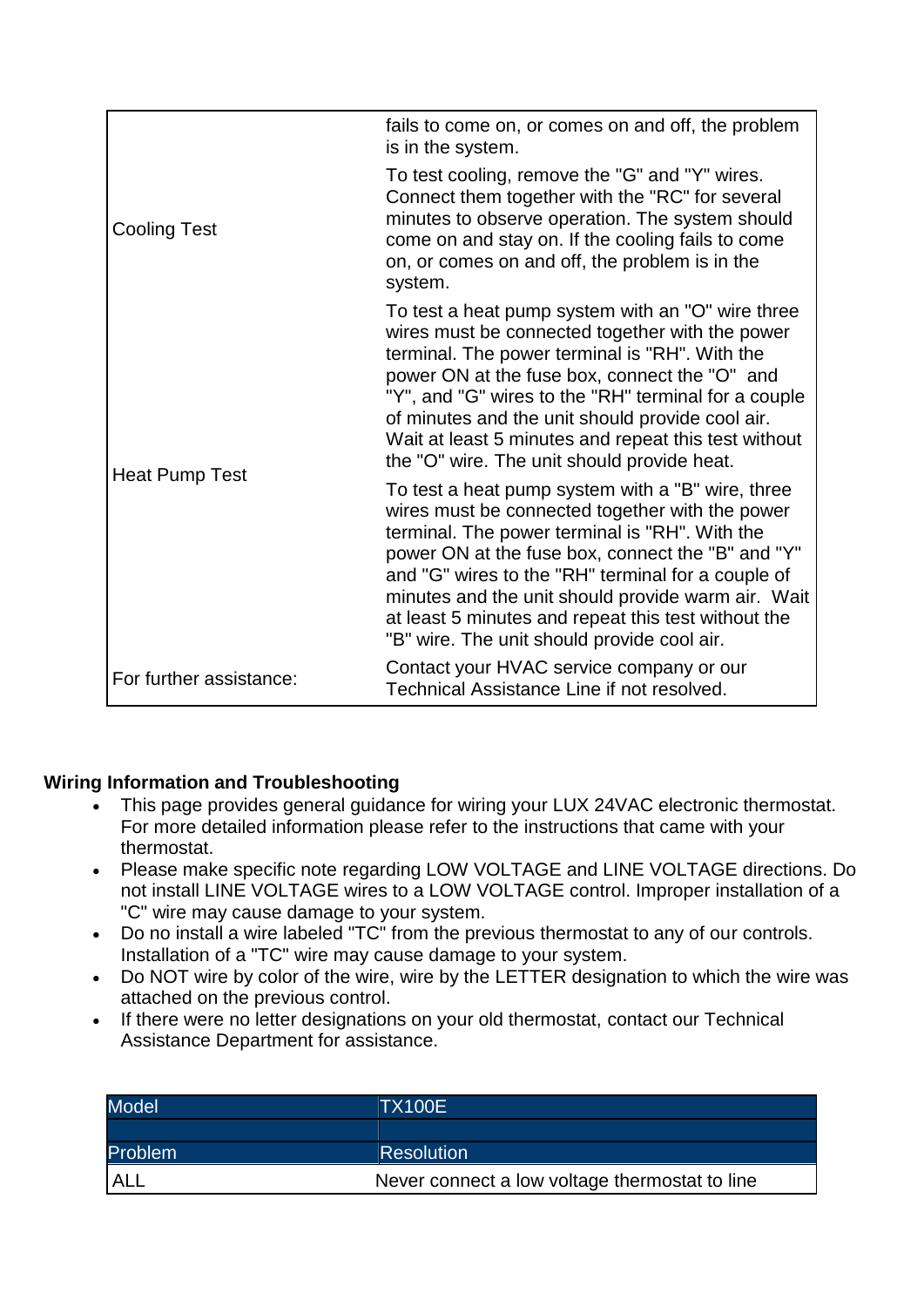|                         | fails to come on, or comes on and off, the problem<br>is in the system.                                                                                                                                                                                                                                                                                                                                                       |
|-------------------------|-------------------------------------------------------------------------------------------------------------------------------------------------------------------------------------------------------------------------------------------------------------------------------------------------------------------------------------------------------------------------------------------------------------------------------|
| <b>Cooling Test</b>     | To test cooling, remove the "G" and "Y" wires.<br>Connect them together with the "RC" for several<br>minutes to observe operation. The system should<br>come on and stay on. If the cooling fails to come<br>on, or comes on and off, the problem is in the<br>system.                                                                                                                                                        |
| Heat Pump Test          | To test a heat pump system with an "O" wire three<br>wires must be connected together with the power<br>terminal. The power terminal is "RH". With the<br>power ON at the fuse box, connect the "O" and<br>"Y", and "G" wires to the "RH" terminal for a couple<br>of minutes and the unit should provide cool air.<br>Wait at least 5 minutes and repeat this test without<br>the "O" wire. The unit should provide heat.    |
|                         | To test a heat pump system with a "B" wire, three<br>wires must be connected together with the power<br>terminal. The power terminal is "RH". With the<br>power ON at the fuse box, connect the "B" and "Y"<br>and "G" wires to the "RH" terminal for a couple of<br>minutes and the unit should provide warm air. Wait<br>at least 5 minutes and repeat this test without the<br>"B" wire. The unit should provide cool air. |
| For further assistance: | Contact your HVAC service company or our<br>Technical Assistance Line if not resolved.                                                                                                                                                                                                                                                                                                                                        |

## **Wiring Information and Troubleshooting**

- This page provides general guidance for wiring your LUX 24VAC electronic thermostat. For more detailed information please refer to the instructions that came with your thermostat.
- Please make specific note regarding LOW VOLTAGE and LINE VOLTAGE directions. Do not install LINE VOLTAGE wires to a LOW VOLTAGE control. Improper installation of a "C" wire may cause damage to your system.
- Do no install a wire labeled "TC" from the previous thermostat to any of our controls. Installation of a "TC" wire may cause damage to your system.
- Do NOT wire by color of the wire, wire by the LETTER designation to which the wire was attached on the previous control.
- If there were no letter designations on your old thermostat, contact our Technical Assistance Department for assistance.

| <b>Model</b>   | TX100E                                         |
|----------------|------------------------------------------------|
|                |                                                |
| <b>Problem</b> | <b>Resolution</b>                              |
| <b>ALL</b>     | Never connect a low voltage thermostat to line |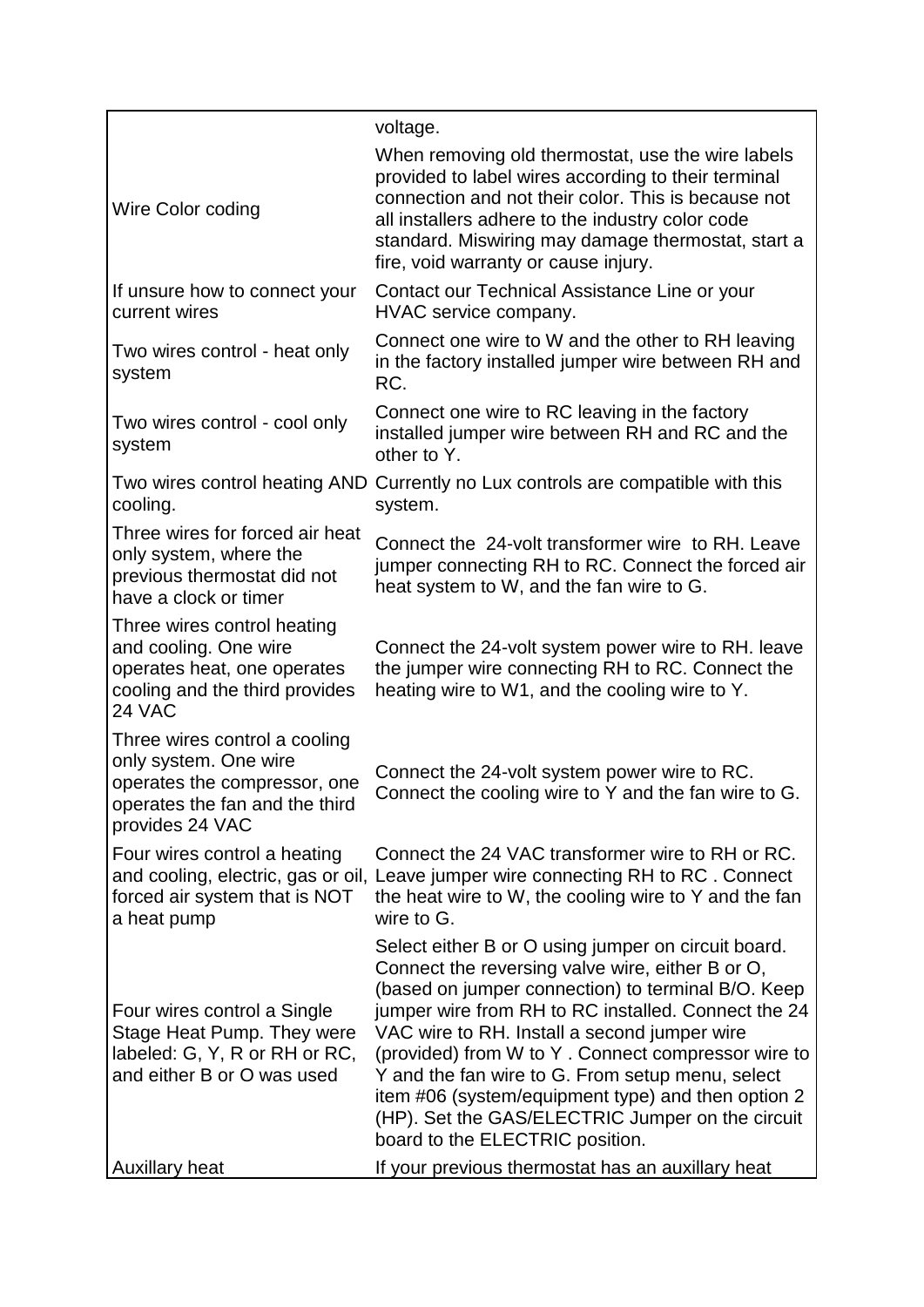|                                                                                                                                             | voltage.                                                                                                                                                                                                                                                                                                                                                                                                                                                                                                                    |
|---------------------------------------------------------------------------------------------------------------------------------------------|-----------------------------------------------------------------------------------------------------------------------------------------------------------------------------------------------------------------------------------------------------------------------------------------------------------------------------------------------------------------------------------------------------------------------------------------------------------------------------------------------------------------------------|
| Wire Color coding                                                                                                                           | When removing old thermostat, use the wire labels<br>provided to label wires according to their terminal<br>connection and not their color. This is because not<br>all installers adhere to the industry color code<br>standard. Miswiring may damage thermostat, start a<br>fire, void warranty or cause injury.                                                                                                                                                                                                           |
| If unsure how to connect your<br>current wires                                                                                              | Contact our Technical Assistance Line or your<br>HVAC service company.                                                                                                                                                                                                                                                                                                                                                                                                                                                      |
| Two wires control - heat only<br>system                                                                                                     | Connect one wire to W and the other to RH leaving<br>in the factory installed jumper wire between RH and<br>RC.                                                                                                                                                                                                                                                                                                                                                                                                             |
| Two wires control - cool only<br>system                                                                                                     | Connect one wire to RC leaving in the factory<br>installed jumper wire between RH and RC and the<br>other to Y.                                                                                                                                                                                                                                                                                                                                                                                                             |
| cooling.                                                                                                                                    | Two wires control heating AND Currently no Lux controls are compatible with this<br>system.                                                                                                                                                                                                                                                                                                                                                                                                                                 |
| Three wires for forced air heat<br>only system, where the<br>previous thermostat did not<br>have a clock or timer                           | Connect the 24-volt transformer wire to RH. Leave<br>jumper connecting RH to RC. Connect the forced air<br>heat system to W, and the fan wire to G.                                                                                                                                                                                                                                                                                                                                                                         |
| Three wires control heating<br>and cooling. One wire<br>operates heat, one operates<br>cooling and the third provides<br>24 VAC             | Connect the 24-volt system power wire to RH. leave<br>the jumper wire connecting RH to RC. Connect the<br>heating wire to W1, and the cooling wire to Y.                                                                                                                                                                                                                                                                                                                                                                    |
| Three wires control a cooling<br>only system. One wire<br>operates the compressor, one<br>operates the fan and the third<br>provides 24 VAC | Connect the 24-volt system power wire to RC.<br>Connect the cooling wire to Y and the fan wire to G.                                                                                                                                                                                                                                                                                                                                                                                                                        |
| Four wires control a heating<br>and cooling, electric, gas or oil,<br>forced air system that is NOT<br>a heat pump                          | Connect the 24 VAC transformer wire to RH or RC.<br>Leave jumper wire connecting RH to RC. Connect<br>the heat wire to W, the cooling wire to Y and the fan<br>wire to G.                                                                                                                                                                                                                                                                                                                                                   |
| Four wires control a Single<br>Stage Heat Pump. They were<br>labeled: G, Y, R or RH or RC,<br>and either B or O was used                    | Select either B or O using jumper on circuit board.<br>Connect the reversing valve wire, either B or O,<br>(based on jumper connection) to terminal B/O. Keep<br>jumper wire from RH to RC installed. Connect the 24<br>VAC wire to RH. Install a second jumper wire<br>(provided) from W to Y. Connect compressor wire to<br>Y and the fan wire to G. From setup menu, select<br>item #06 (system/equipment type) and then option 2<br>(HP). Set the GAS/ELECTRIC Jumper on the circuit<br>board to the ELECTRIC position. |
| <b>Auxillary heat</b>                                                                                                                       | If your previous thermostat has an auxillary heat                                                                                                                                                                                                                                                                                                                                                                                                                                                                           |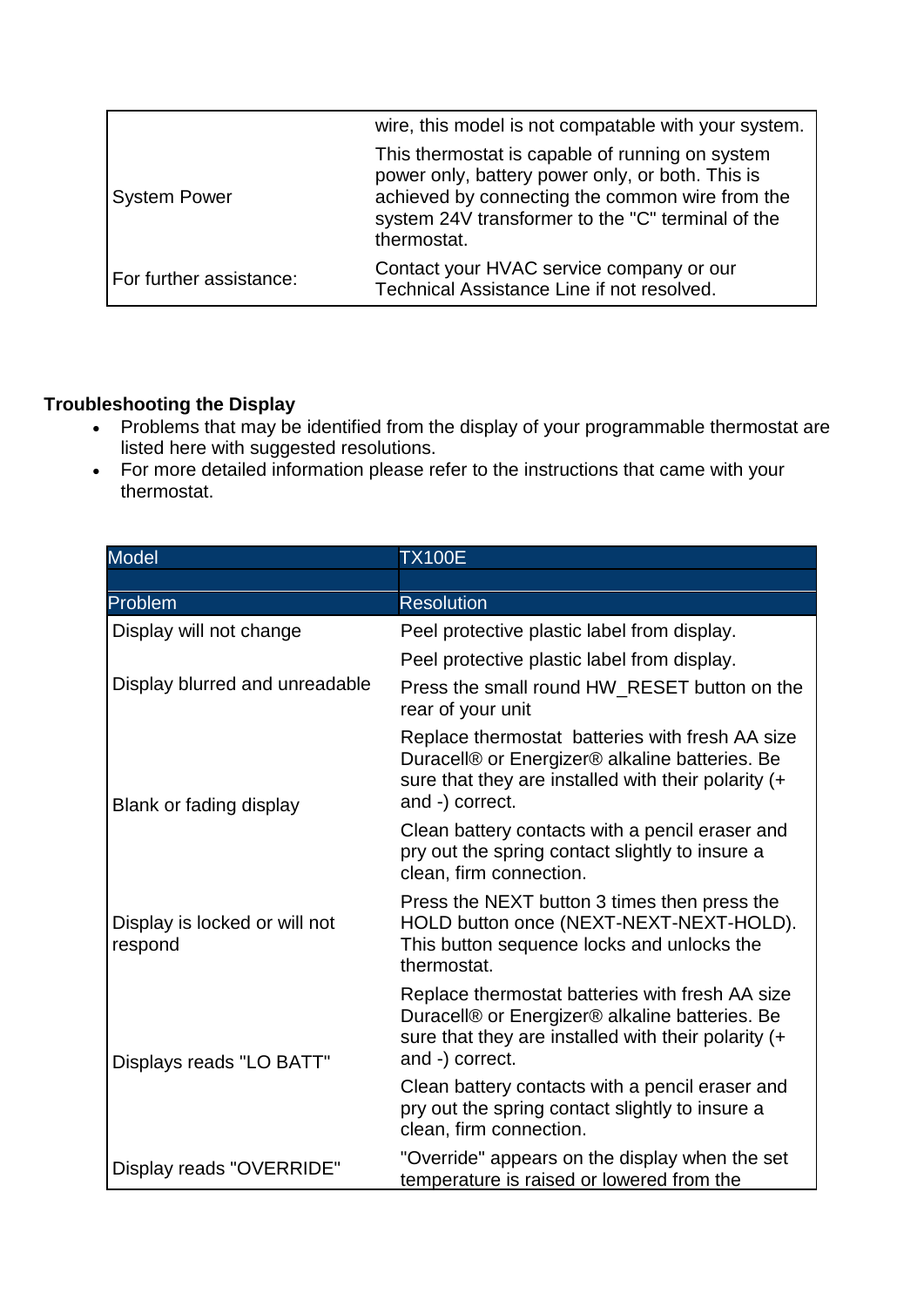|                         | wire, this model is not compatable with your system.                                                                                                                                                                       |
|-------------------------|----------------------------------------------------------------------------------------------------------------------------------------------------------------------------------------------------------------------------|
| <b>System Power</b>     | This thermostat is capable of running on system<br>power only, battery power only, or both. This is<br>achieved by connecting the common wire from the<br>system 24V transformer to the "C" terminal of the<br>thermostat. |
| For further assistance: | Contact your HVAC service company or our<br>Technical Assistance Line if not resolved.                                                                                                                                     |

## **Troubleshooting the Display**

- Problems that may be identified from the display of your programmable thermostat are listed here with suggested resolutions.
- For more detailed information please refer to the instructions that came with your thermostat.

| <b>Model</b>                             | <b>TX100E</b>                                                                                                                                                                  |
|------------------------------------------|--------------------------------------------------------------------------------------------------------------------------------------------------------------------------------|
|                                          |                                                                                                                                                                                |
| Problem                                  | <b>Resolution</b>                                                                                                                                                              |
| Display will not change                  | Peel protective plastic label from display.                                                                                                                                    |
|                                          | Peel protective plastic label from display.                                                                                                                                    |
| Display blurred and unreadable           | Press the small round HW_RESET button on the<br>rear of your unit                                                                                                              |
| Blank or fading display                  | Replace thermostat batteries with fresh AA size<br>Duracell® or Energizer® alkaline batteries. Be<br>sure that they are installed with their polarity $(+)$<br>and -) correct. |
|                                          | Clean battery contacts with a pencil eraser and<br>pry out the spring contact slightly to insure a<br>clean, firm connection.                                                  |
| Display is locked or will not<br>respond | Press the NEXT button 3 times then press the<br>HOLD button once (NEXT-NEXT-NEXT-HOLD).<br>This button sequence locks and unlocks the<br>thermostat.                           |
| Displays reads "LO BATT"                 | Replace thermostat batteries with fresh AA size<br>Duracell® or Energizer® alkaline batteries. Be<br>sure that they are installed with their polarity (+<br>and -) correct.    |
|                                          | Clean battery contacts with a pencil eraser and<br>pry out the spring contact slightly to insure a<br>clean, firm connection.                                                  |
| Display reads "OVERRIDE"                 | "Override" appears on the display when the set<br>temperature is raised or lowered from the                                                                                    |